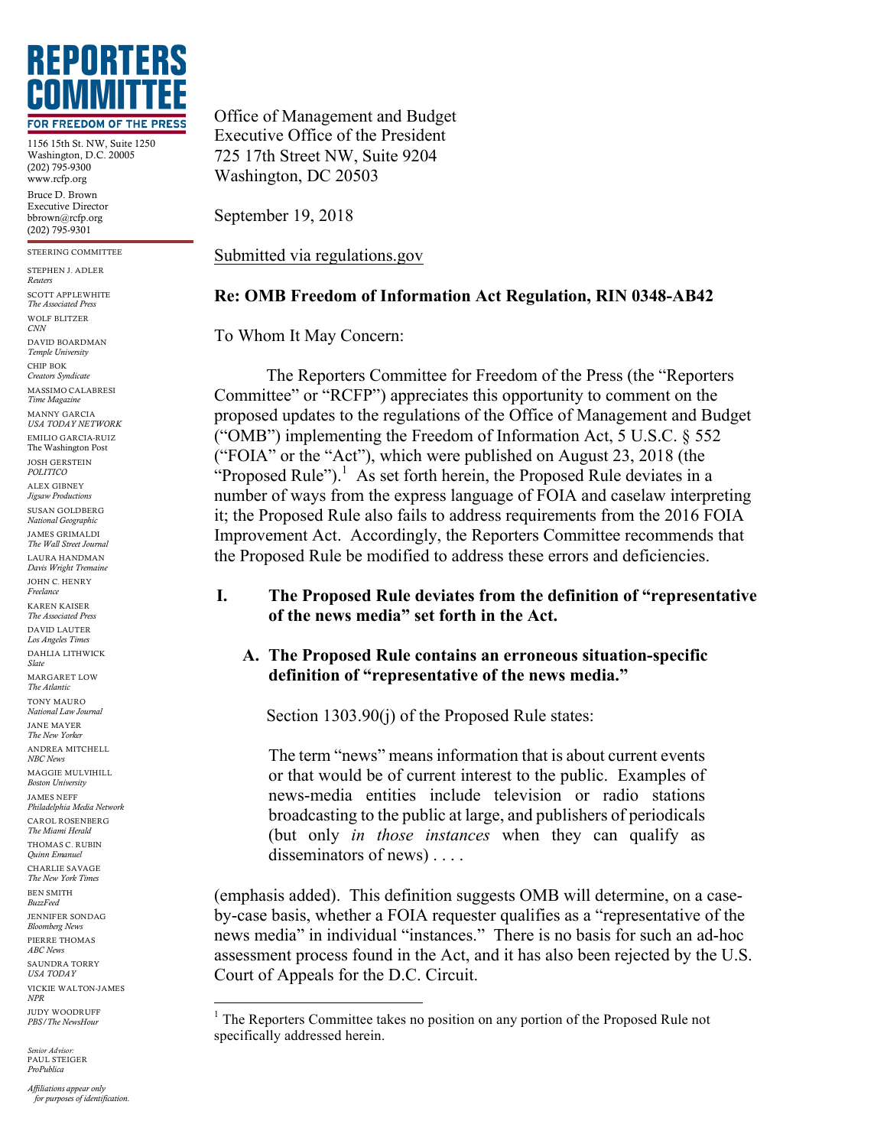

1156 15th St. NW, Suite 1250 Washington, D.C. 20005 (202) 795-9300 www.rcfp.org Bruce D. Brown Executive Director

bbrown@rcfp.org (202) 795-9301 STEERING COMMITTEE

STEPHEN J. ADLER *Reuters* SCOTT APPLEWHITE *The Associated Press* WOLF BLITZER *CNN* DAVID BOARDMAN *Temple University* CHIP BOK *Creators Syndicate* MASSIMO CALABRESI *Time Magazine* MANNY GARCIA *USA TODAY NETWORK* EMILIO GARCIA-RUIZ The Washington Post JOSH GERSTEIN *POLITICO*  ALEX GIBNEY *Jigsaw Productions* SUSAN GOLDBERG *National Geographic* JAMES GRIMALDI *The Wall Street Journal* LAURA HANDMAN *Davis Wright Tremaine* JOHN C. HENRY *Freelance* KAREN KAISER *The Associated Press* DAVID LAUTER *Los Angeles Times* DAHLIA LITHWICK *Slate* MARGARET LOW *The Atlantic* TONY MAURO *National Law Journal* JANE MAYER *The New Yorker* ANDREA MITCHELL *NBC News* MAGGIE MULVIHILL *Boston University* JAMES NEFF *Philadelphia Media Network* CAROL ROSENBERG *The Miami Herald* THOMAS C. RUBIN *Quinn Emanuel* CHARLIE SAVAGE *The New York Times* BEN SMITH *BuzzFeed* JENNIFER SONDAG *Bloomberg News* PIERRE THOMAS *ABC News* SAUNDRA TORRY *USA TODAY* VICKIE WALTON-JAMES *NPR* JUDY WOODRUFF *PBS/The NewsHour*

 $Senior Adviso$ PAUL STEIGER *ProPublica*

Office of Management and Budget Executive Office of the President 725 17th Street NW, Suite 9204 Washington, DC 20503

September 19, 2018

Submitted via regulations.gov

## **Re: OMB Freedom of Information Act Regulation, RIN 0348-AB42**

To Whom It May Concern:

The Reporters Committee for Freedom of the Press (the "Reporters Committee" or "RCFP") appreciates this opportunity to comment on the proposed updates to the regulations of the Office of Management and Budget ("OMB") implementing the Freedom of Information Act, 5 U.S.C. § 552 ("FOIA" or the "Act"), which were published on August 23, 2018 (the "Proposed Rule").<sup>1</sup> As set forth herein, the Proposed Rule deviates in a number of ways from the express language of FOIA and caselaw interpreting it; the Proposed Rule also fails to address requirements from the 2016 FOIA Improvement Act. Accordingly, the Reporters Committee recommends that the Proposed Rule be modified to address these errors and deficiencies.

## **I. The Proposed Rule deviates from the definition of "representative of the news media" set forth in the Act.**

# **A. The Proposed Rule contains an erroneous situation-specific definition of "representative of the news media."**

Section 1303.90(j) of the Proposed Rule states:

The term "news" means information that is about current events or that would be of current interest to the public. Examples of news-media entities include television or radio stations broadcasting to the public at large, and publishers of periodicals (but only *in those instances* when they can qualify as disseminators of news) . . . .

(emphasis added). This definition suggests OMB will determine, on a caseby-case basis, whether a FOIA requester qualifies as a "representative of the news media" in individual "instances." There is no basis for such an ad-hoc assessment process found in the Act, and it has also been rejected by the U.S. Court of Appeals for the D.C. Circuit.

*Affiliations appear only for purposes of identification.*

<sup>&</sup>lt;sup>1</sup> The Reporters Committee takes no position on any portion of the Proposed Rule not specifically addressed herein.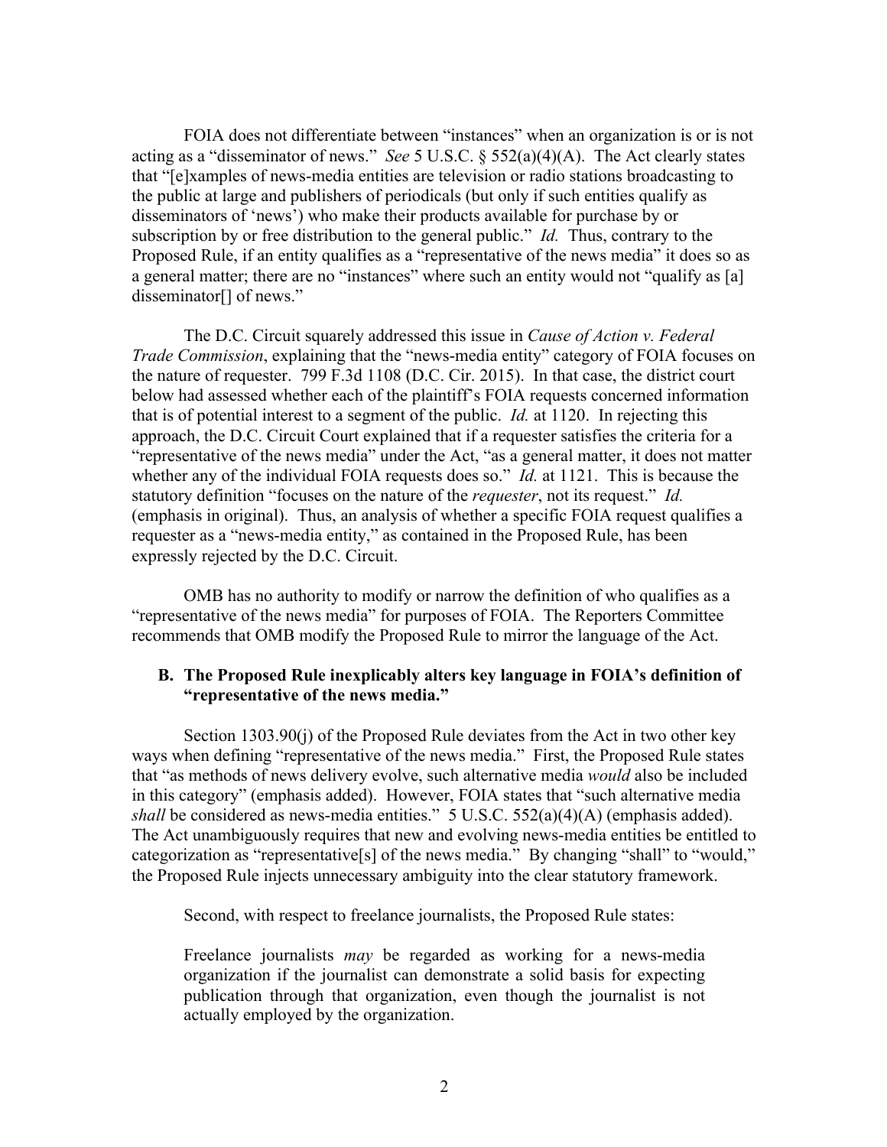FOIA does not differentiate between "instances" when an organization is or is not acting as a "disseminator of news." *See* 5 U.S.C. § 552(a)(4)(A). The Act clearly states that "[e]xamples of news-media entities are television or radio stations broadcasting to the public at large and publishers of periodicals (but only if such entities qualify as disseminators of 'news') who make their products available for purchase by or subscription by or free distribution to the general public." *Id.* Thus, contrary to the Proposed Rule, if an entity qualifies as a "representative of the news media" it does so as a general matter; there are no "instances" where such an entity would not "qualify as [a] disseminator<sup>[]</sup> of news."

The D.C. Circuit squarely addressed this issue in *Cause of Action v. Federal Trade Commission*, explaining that the "news-media entity" category of FOIA focuses on the nature of requester. 799 F.3d 1108 (D.C. Cir. 2015). In that case, the district court below had assessed whether each of the plaintiff's FOIA requests concerned information that is of potential interest to a segment of the public. *Id.* at 1120. In rejecting this approach, the D.C. Circuit Court explained that if a requester satisfies the criteria for a "representative of the news media" under the Act, "as a general matter, it does not matter whether any of the individual FOIA requests does so." *Id.* at 1121. This is because the statutory definition "focuses on the nature of the *requester*, not its request." *Id.*  (emphasis in original). Thus, an analysis of whether a specific FOIA request qualifies a requester as a "news-media entity," as contained in the Proposed Rule, has been expressly rejected by the D.C. Circuit.

OMB has no authority to modify or narrow the definition of who qualifies as a "representative of the news media" for purposes of FOIA. The Reporters Committee recommends that OMB modify the Proposed Rule to mirror the language of the Act.

#### **B. The Proposed Rule inexplicably alters key language in FOIA's definition of "representative of the news media."**

Section 1303.90(j) of the Proposed Rule deviates from the Act in two other key ways when defining "representative of the news media." First, the Proposed Rule states that "as methods of news delivery evolve, such alternative media *would* also be included in this category" (emphasis added). However, FOIA states that "such alternative media *shall* be considered as news-media entities." 5 U.S.C. 552(a)(4)(A) (emphasis added). The Act unambiguously requires that new and evolving news-media entities be entitled to categorization as "representative[s] of the news media." By changing "shall" to "would," the Proposed Rule injects unnecessary ambiguity into the clear statutory framework.

Second, with respect to freelance journalists, the Proposed Rule states:

Freelance journalists *may* be regarded as working for a news-media organization if the journalist can demonstrate a solid basis for expecting publication through that organization, even though the journalist is not actually employed by the organization.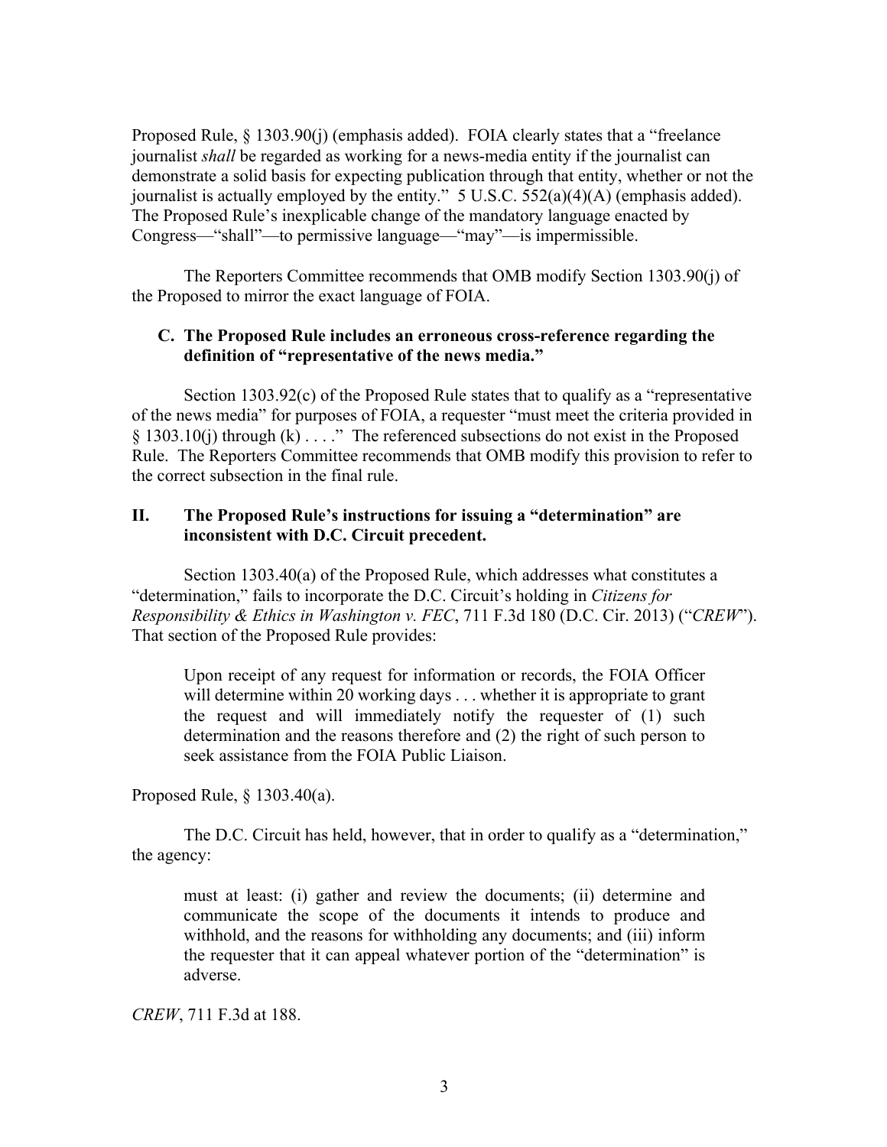Proposed Rule, § 1303.90(j) (emphasis added). FOIA clearly states that a "freelance journalist *shall* be regarded as working for a news-media entity if the journalist can demonstrate a solid basis for expecting publication through that entity, whether or not the journalist is actually employed by the entity." 5 U.S.C. 552(a)(4)(A) (emphasis added). The Proposed Rule's inexplicable change of the mandatory language enacted by Congress—"shall"—to permissive language—"may"—is impermissible.

The Reporters Committee recommends that OMB modify Section 1303.90(j) of the Proposed to mirror the exact language of FOIA.

### **C. The Proposed Rule includes an erroneous cross-reference regarding the definition of "representative of the news media."**

Section 1303.92(c) of the Proposed Rule states that to qualify as a "representative of the news media" for purposes of FOIA, a requester "must meet the criteria provided in § 1303.10(j) through (k) . . . ." The referenced subsections do not exist in the Proposed Rule. The Reporters Committee recommends that OMB modify this provision to refer to the correct subsection in the final rule.

### **II. The Proposed Rule's instructions for issuing a "determination" are inconsistent with D.C. Circuit precedent.**

Section 1303.40(a) of the Proposed Rule, which addresses what constitutes a "determination," fails to incorporate the D.C. Circuit's holding in *Citizens for Responsibility & Ethics in Washington v. FEC*, 711 F.3d 180 (D.C. Cir. 2013) ("*CREW*"). That section of the Proposed Rule provides:

Upon receipt of any request for information or records, the FOIA Officer will determine within 20 working days . . . whether it is appropriate to grant the request and will immediately notify the requester of (1) such determination and the reasons therefore and (2) the right of such person to seek assistance from the FOIA Public Liaison.

Proposed Rule, § 1303.40(a).

The D.C. Circuit has held, however, that in order to qualify as a "determination," the agency:

must at least: (i) gather and review the documents; (ii) determine and communicate the scope of the documents it intends to produce and withhold, and the reasons for withholding any documents; and (iii) inform the requester that it can appeal whatever portion of the "determination" is adverse.

*CREW*, 711 F.3d at 188.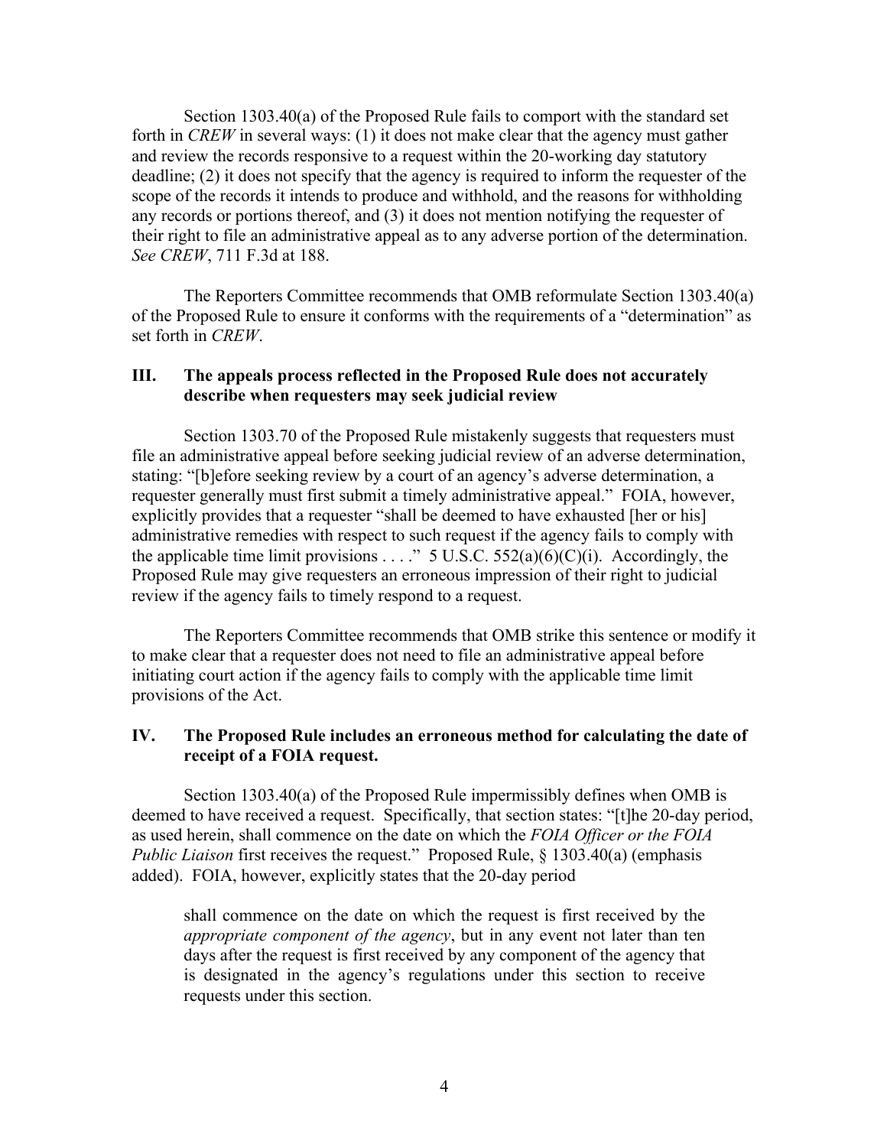Section 1303.40(a) of the Proposed Rule fails to comport with the standard set forth in *CREW* in several ways: (1) it does not make clear that the agency must gather and review the records responsive to a request within the 20-working day statutory deadline; (2) it does not specify that the agency is required to inform the requester of the scope of the records it intends to produce and withhold, and the reasons for withholding any records or portions thereof, and (3) it does not mention notifying the requester of their right to file an administrative appeal as to any adverse portion of the determination. *See CREW*, 711 F.3d at 188.

The Reporters Committee recommends that OMB reformulate Section 1303.40(a) of the Proposed Rule to ensure it conforms with the requirements of a "determination" as set forth in *CREW*.

### **III. The appeals process reflected in the Proposed Rule does not accurately describe when requesters may seek judicial review**

Section 1303.70 of the Proposed Rule mistakenly suggests that requesters must file an administrative appeal before seeking judicial review of an adverse determination, stating: "[b]efore seeking review by a court of an agency's adverse determination, a requester generally must first submit a timely administrative appeal." FOIA, however, explicitly provides that a requester "shall be deemed to have exhausted [her or his] administrative remedies with respect to such request if the agency fails to comply with the applicable time limit provisions . . . ." 5 U.S.C. 552(a)(6)(C)(i). Accordingly, the Proposed Rule may give requesters an erroneous impression of their right to judicial review if the agency fails to timely respond to a request.

The Reporters Committee recommends that OMB strike this sentence or modify it to make clear that a requester does not need to file an administrative appeal before initiating court action if the agency fails to comply with the applicable time limit provisions of the Act.

### **IV. The Proposed Rule includes an erroneous method for calculating the date of receipt of a FOIA request.**

Section 1303.40(a) of the Proposed Rule impermissibly defines when OMB is deemed to have received a request. Specifically, that section states: "[t]he 20-day period, as used herein, shall commence on the date on which the *FOIA Officer or the FOIA Public Liaison* first receives the request." Proposed Rule, § 1303.40(a) (emphasis added). FOIA, however, explicitly states that the 20-day period

shall commence on the date on which the request is first received by the *appropriate component of the agency*, but in any event not later than ten days after the request is first received by any component of the agency that is designated in the agency's regulations under this section to receive requests under this section.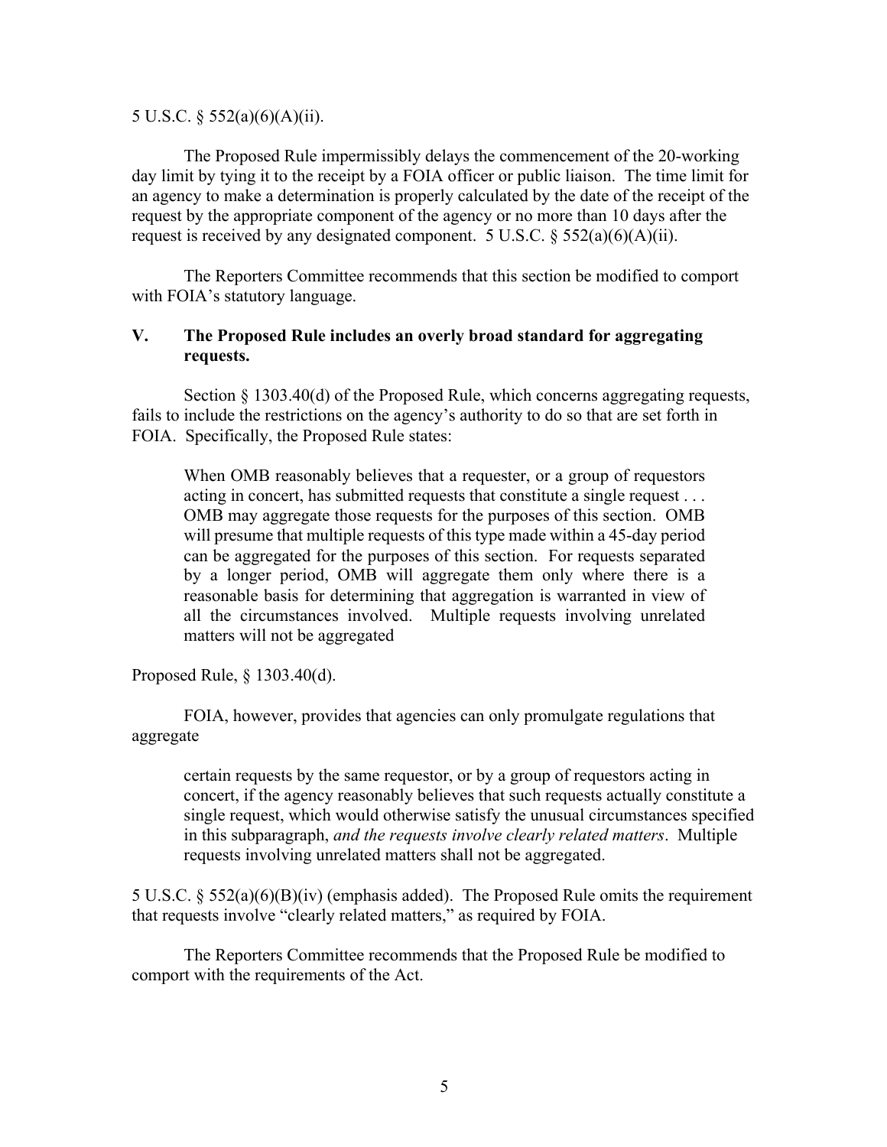#### 5 U.S.C. § 552(a)(6)(A)(ii).

The Proposed Rule impermissibly delays the commencement of the 20-working day limit by tying it to the receipt by a FOIA officer or public liaison. The time limit for an agency to make a determination is properly calculated by the date of the receipt of the request by the appropriate component of the agency or no more than 10 days after the request is received by any designated component. 5 U.S.C. § 552(a)(6)(A)(ii).

The Reporters Committee recommends that this section be modified to comport with FOIA's statutory language.

### **V. The Proposed Rule includes an overly broad standard for aggregating requests.**

Section § 1303.40(d) of the Proposed Rule, which concerns aggregating requests, fails to include the restrictions on the agency's authority to do so that are set forth in FOIA. Specifically, the Proposed Rule states:

When OMB reasonably believes that a requester, or a group of requestors acting in concert, has submitted requests that constitute a single request . . . OMB may aggregate those requests for the purposes of this section. OMB will presume that multiple requests of this type made within a 45-day period can be aggregated for the purposes of this section. For requests separated by a longer period, OMB will aggregate them only where there is a reasonable basis for determining that aggregation is warranted in view of all the circumstances involved. Multiple requests involving unrelated matters will not be aggregated

Proposed Rule, § 1303.40(d).

FOIA, however, provides that agencies can only promulgate regulations that aggregate

certain requests by the same requestor, or by a group of requestors acting in concert, if the agency reasonably believes that such requests actually constitute a single request, which would otherwise satisfy the unusual circumstances specified in this subparagraph, *and the requests involve clearly related matters*. Multiple requests involving unrelated matters shall not be aggregated.

5 U.S.C. § 552(a)(6)(B)(iv) (emphasis added). The Proposed Rule omits the requirement that requests involve "clearly related matters," as required by FOIA.

The Reporters Committee recommends that the Proposed Rule be modified to comport with the requirements of the Act.